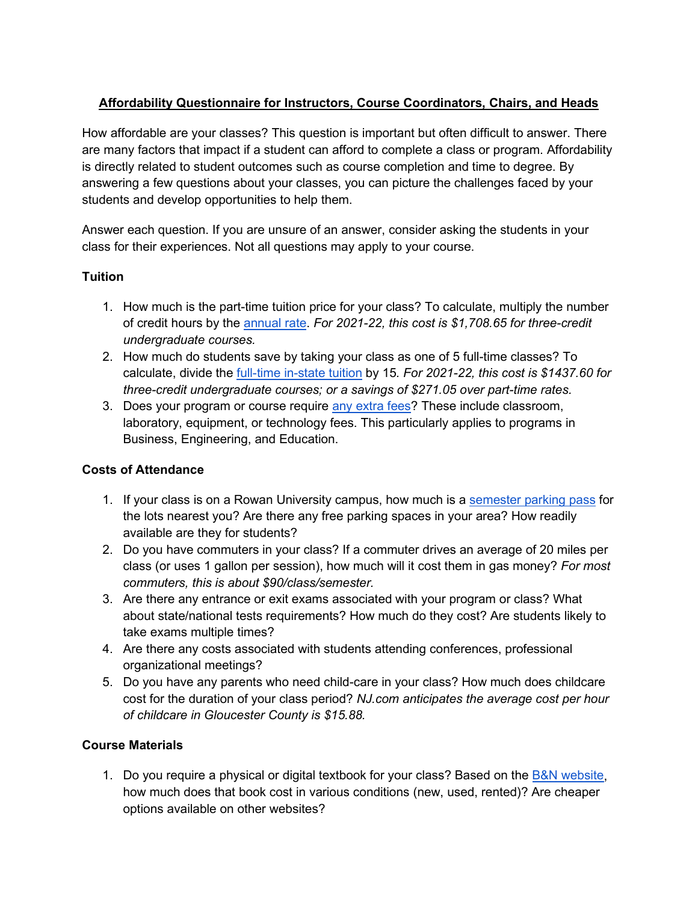## **Affordability Questionnaire for Instructors, Course Coordinators, Chairs, and Heads**

How affordable are your classes? This question is important but often difficult to answer. There are many factors that impact if a student can afford to complete a class or program. Affordability is directly related to student outcomes such as course completion and time to degree. By answering a few questions about your classes, you can picture the challenges faced by your students and develop opportunities to help them.

Answer each question. If you are unsure of an answer, consider asking the students in your class for their experiences. Not all questions may apply to your course.

#### **Tuition**

- 1. How much is the part-time tuition price for your class? To calculate, multiply the number of credit hours by th[e](https://sites.rowan.edu/bursar/tuitionfees/undergraduate/index.html) [annual rate.](https://sites.rowan.edu/bursar/tuitionfees/undergraduate/index.html) *For 2021-22, this cost is \$1,708.65 for three-credit undergraduate courses.*
- 2. How much do students save by taking your class as one of 5 full-time classes? To calculate, divide th[e](https://sites.rowan.edu/bursar/tuitionfees/undergraduate/index.html) [full-time in-state tuition](https://sites.rowan.edu/bursar/tuitionfees/undergraduate/index.html) by 15*. For 2021-22, this cost is \$1437.60 for three-credit undergraduate courses; or a savings of \$271.05 over part-time rates.*
- 3. Do[e](https://sites.rowan.edu/bursar/tuitionfees/miscellaneousfees/index.html)s your program or course require [any extra fees?](https://sites.rowan.edu/bursar/tuitionfees/miscellaneousfees/index.html) These include classroom, laboratory, equipment, or technology fees. This particularly applies to programs in Business, Engineering, and Education.

#### **Costs of Attendance**

- 1. If your class is on a Rowan University campus, how much is a [semester parking pass](https://sites.rowan.edu/publicsafety/parking/rulesandregs.html) for the lots nearest you? Are there any free parking spaces in your area? How readily available are they for students?
- 2. Do you have commuters in your class? If a commuter drives an average of 20 miles per class (or uses 1 gallon per session), how much will it cost them in gas money? *For most commuters, this is about \$90/class/semester.*
- 3. Are there any entrance or exit exams associated with your program or class? What about state/national tests requirements? How much do they cost? Are students likely to take exams multiple times?
- 4. Are there any costs associated with students attending conferences, professional organizational meetings?
- 5. Do you have any parents who need child-care in your class? How much does childcare cost for the duration of your class period? *NJ.com anticipates the average cost per hour of childcare in Gloucester County is \$15.88.*

#### **Course Materials**

1. Do you require a physical or digital textbook for your class? Based on the **B&N** website, how much does that book cost in various conditions (new, used, rented)? Are cheaper options available on other websites?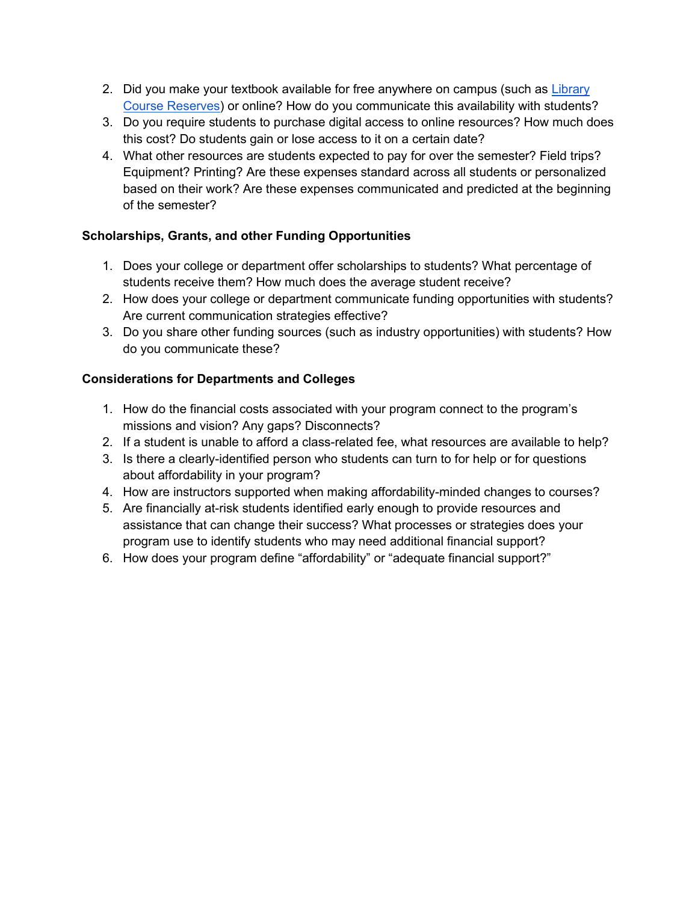- 2. Did you make your textbook available for free anywhere on campus (such as Library [Course Reserves\)](https://www.lib.rowan.edu/campbell/find/course-reserves) or online? How do you communicate this availability with students?
- 3. Do you require students to purchase digital access to online resources? How much does this cost? Do students gain or lose access to it on a certain date?
- 4. What other resources are students expected to pay for over the semester? Field trips? Equipment? Printing? Are these expenses standard across all students or personalized based on their work? Are these expenses communicated and predicted at the beginning of the semester?

# **Scholarships, Grants, and other Funding Opportunities**

- 1. Does your college or department offer scholarships to students? What percentage of students receive them? How much does the average student receive?
- 2. How does your college or department communicate funding opportunities with students? Are current communication strategies effective?
- 3. Do you share other funding sources (such as industry opportunities) with students? How do you communicate these?

### **Considerations for Departments and Colleges**

- 1. How do the financial costs associated with your program connect to the program's missions and vision? Any gaps? Disconnects?
- 2. If a student is unable to afford a class-related fee, what resources are available to help?
- 3. Is there a clearly-identified person who students can turn to for help or for questions about affordability in your program?
- 4. How are instructors supported when making affordability-minded changes to courses?
- 5. Are financially at-risk students identified early enough to provide resources and assistance that can change their success? What processes or strategies does your program use to identify students who may need additional financial support?
- 6. How does your program define "affordability" or "adequate financial support?"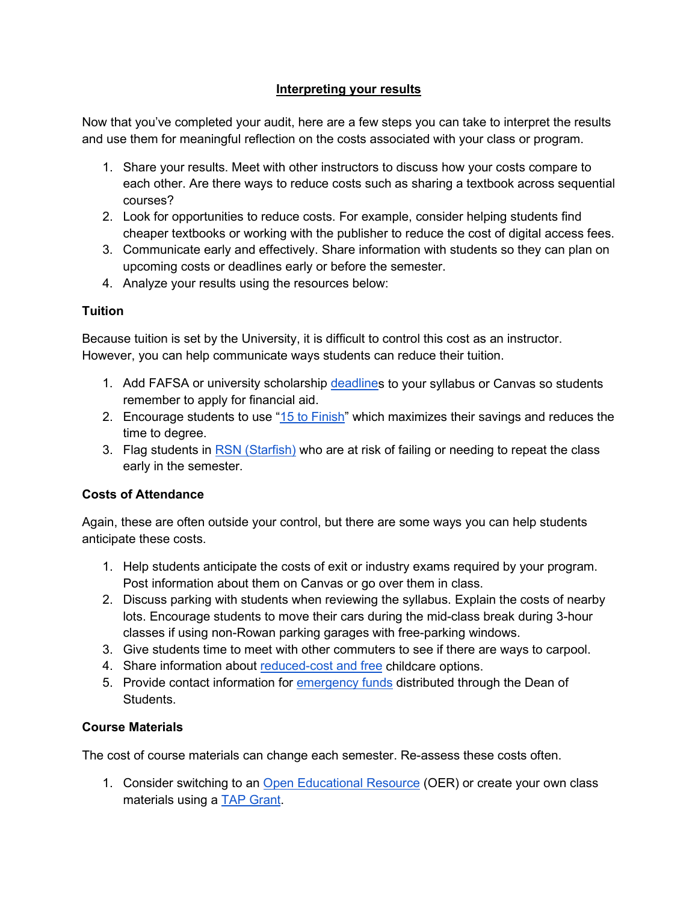#### **Interpreting your results**

Now that you've completed your audit, here are a few steps you can take to interpret the results and use them for meaningful reflection on the costs associated with your class or program.

- 1. Share your results. Meet with other instructors to discuss how your costs compare to each other. Are there ways to reduce costs such as sharing a textbook across sequential courses?
- 2. Look for opportunities to reduce costs. For example, consider helping students find cheaper textbooks or working with the publisher to reduce the cost of digital access fees.
- 3. Communicate early and effectively. Share information with students so they can plan on upcoming costs or deadlines early or before the semester.
- 4. Analyze your results using the resources below:

### **Tuition**

Because tuition is set by the University, it is difficult to control this cost as an instructor. However, you can help communicate ways students can reduce their tuition.

- 1. Add FAFSA or university scholarship [deadlines](https://sites.rowan.edu/financial-aid/dates-deadlines.html) to your syllabus or Canvas so students remember to apply for financial aid.
- 2. Encourage students to use ["15 to Finish"](https://sites.rowan.edu/student-success/advising/current-students/course-registration-tips.html) which maximizes their savings and reduces the time to degree.
- 3. Flag students in **RSN (Starfish)** who are at risk of failing or needing to repeat the class early in the semester.

#### **Costs of Attendance**

Again, these are often outside your control, but there are some ways you can help students anticipate these costs.

- 1. Help students anticipate the costs of exit or industry exams required by your program. Post information about them on Canvas or go over them in class.
- 2. Discuss parking with students when reviewing the syllabus. Explain the costs of nearby lots. Encourage students to move their cars during the mid-class break during 3-hour classes if using non-Rowan parking garages with free-parking windows.
- 3. Give students time to meet with other commuters to see if there are ways to carpool.
- 4. Share information about [reduced-cost and free](http://education.rowan.edu/_docs/ffceveningapp.pdf) childcare options.
- 5. Provide contact information for [emergency funds](https://sites.rowan.edu/deanofstudents/forms/emergencyfunds.html#:%7E:text=The%20Student%20Emergency%20Fund%20was,a%20degree%20from%20Rowan%20University.) distributed through the Dean of Students.

# **Course Materials**

The cost of course materials can change each semester. Re-assess these costs often.

1. Consider switching to an [Open Educational Resource](https://libguides.rowan.edu/oer) (OER) or create your own class materials using a [TAP Grant.](https://sites.rowan.edu/student-success/tap/index.html)